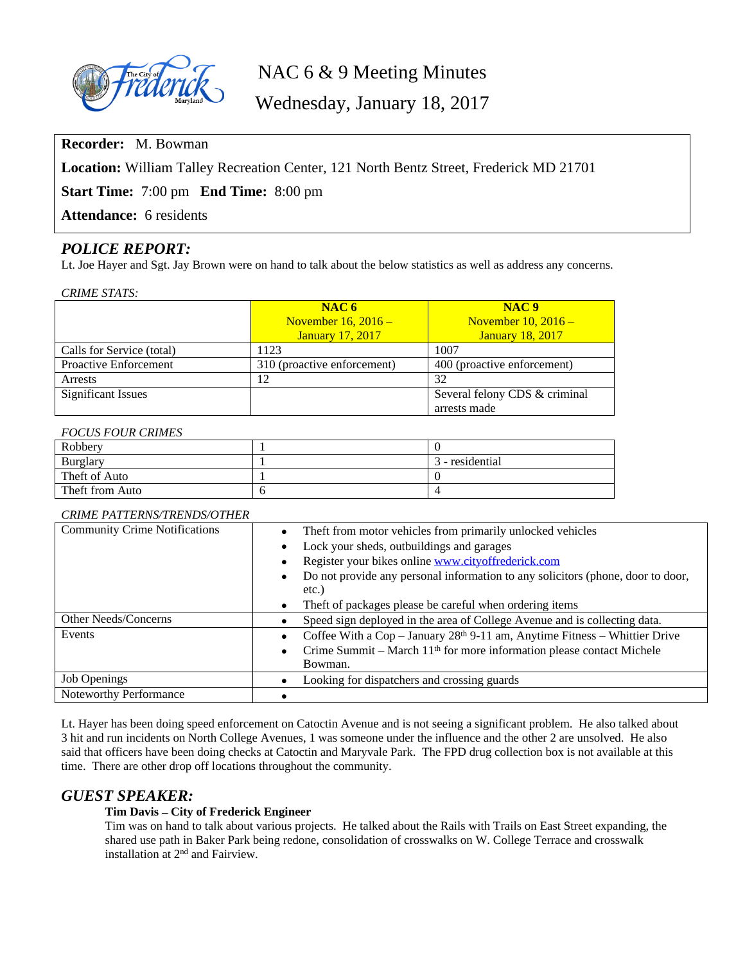

NAC 6 & 9 Meeting Minutes

Wednesday, January 18, 2017

**Recorder:** M. Bowman

**Location:** William Talley Recreation Center, 121 North Bentz Street, Frederick MD 21701

**Start Time:** 7:00 pm **End Time:** 8:00 pm

**Attendance:** 6 residents

# *POLICE REPORT:*

Lt. Joe Hayer and Sgt. Jay Brown were on hand to talk about the below statistics as well as address any concerns.

#### *CRIME STATS:*

|                              | NAC6<br>November $16, 2016$ –<br><b>January 17, 2017</b> | NAC <sub>9</sub><br>November $10, 2016$ –<br><b>January 18, 2017</b> |
|------------------------------|----------------------------------------------------------|----------------------------------------------------------------------|
| Calls for Service (total)    | 1123                                                     | 1007                                                                 |
| <b>Proactive Enforcement</b> | 310 (proactive enforcement)                              | 400 (proactive enforcement)                                          |
| Arrests                      | 12                                                       | 32                                                                   |
| <b>Significant Issues</b>    |                                                          | Several felony CDS & criminal                                        |
|                              |                                                          | arrests made                                                         |

## *FOCUS FOUR CRIMES*

| Robbery         |                 |
|-----------------|-----------------|
| Burglary        | 3 - residential |
| Theft of Auto   |                 |
| Theft from Auto |                 |

## *CRIME PATTERNS/TRENDS/OTHER*

| <b>Community Crime Notifications</b> | Theft from motor vehicles from primarily unlocked vehicles<br>$\bullet$                 |  |
|--------------------------------------|-----------------------------------------------------------------------------------------|--|
|                                      | Lock your sheds, outbuildings and garages                                               |  |
|                                      | Register your bikes online www.cityoffrederick.com                                      |  |
|                                      | Do not provide any personal information to any solicitors (phone, door to door,<br>٠    |  |
|                                      | etc.)                                                                                   |  |
|                                      | Theft of packages please be careful when ordering items<br>$\bullet$                    |  |
| Other Needs/Concerns                 | Speed sign deployed in the area of College Avenue and is collecting data.               |  |
| Events                               | Coffee With a Cop - January 28th 9-11 am, Anytime Fitness - Whittier Drive<br>$\bullet$ |  |
|                                      | Crime Summit – March $11th$ for more information please contact Michele<br>$\bullet$    |  |
|                                      | Bowman.                                                                                 |  |
| <b>Job Openings</b>                  | Looking for dispatchers and crossing guards                                             |  |
| Noteworthy Performance               |                                                                                         |  |

Lt. Hayer has been doing speed enforcement on Catoctin Avenue and is not seeing a significant problem. He also talked about 3 hit and run incidents on North College Avenues, 1 was someone under the influence and the other 2 are unsolved. He also said that officers have been doing checks at Catoctin and Maryvale Park. The FPD drug collection box is not available at this time. There are other drop off locations throughout the community.

# *GUEST SPEAKER:*

## **Tim Davis – City of Frederick Engineer**

Tim was on hand to talk about various projects. He talked about the Rails with Trails on East Street expanding, the shared use path in Baker Park being redone, consolidation of crosswalks on W. College Terrace and crosswalk installation at 2nd and Fairview.